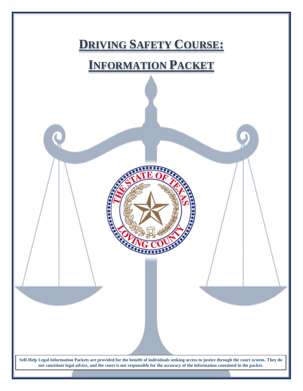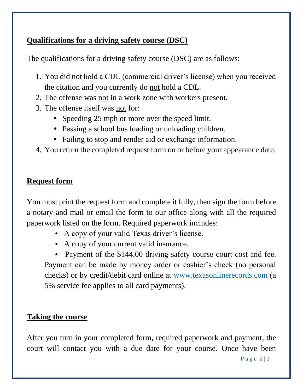## **Qualifications for a driving safety course (DSC)**

The qualifications for a driving safety course (DSC) are as follows:

- 1. You did not hold a CDL (commercial driver's license) when you received the citation and you currently do not hold a CDL.
- 2. The offense was not in a work zone with workers present.
- 3. The offense itself was not for:
	- Speeding 25 mph or more over the speed limit.
	- Passing a school bus loading or unloading children.
	- Failing to stop and render aid or exchange information.
- 4. You return the completed request form on or before your appearance date.

## **Request form**

You must print the request form and complete it fully, then sign the form before a notary and mail or email the form to our office along with all the required paperwork listed on the form. Required paperwork includes:

- A copy of your valid Texas driver's license.
- A copy of your current valid insurance.

• Payment of the \$144.00 driving safety course court cost and fee. Payment can be made by money order or cashier's check (no personal checks) or by credit/debit card online at [www.texasonlinerecords.com](http://www.texasonlinerecords.com/) (a 5% service fee applies to all card payments).

## **Taking the course**

After you turn in your completed form, required paperwork and payment, the court will contact you with a due date for your course. Once have been